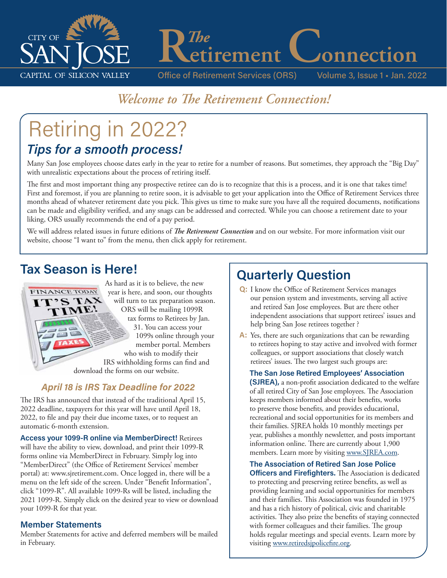

Office of Retirement Services (ORS) Volume 3, Issue 1 • Jan. 2022

# *Welcome to The Retirement Connection!*

# Retiring in 2022? *Tips for a smooth process!*

Many San Jose employees choose dates early in the year to retire for a number of reasons. But sometimes, they approach the "Big Day" with unrealistic expectations about the process of retiring itself.

The first and most important thing any prospective retiree can do is to recognize that this is a process, and it is one that takes time! First and foremost, if you are planning to retire soon, it is advisable to get your application into the Office of Retirement Services three months ahead of whatever retirement date you pick. This gives us time to make sure you have all the required documents, notifications can be made and eligibility verified, and any snags can be addressed and corrected. While you can choose a retirement date to your liking, ORS usually recommends the end of a pay period.

We will address related issues in future editions of *The Retirement Connection* and on our website. For more information visit our website, choose "I want to" from the menu, then click apply for retirement.

# **Tax Season is Here!**



## *April 18 is IRS Tax Deadline for 2022*

The IRS has announced that instead of the traditional April 15, 2022 deadline, taxpayers for this year will have until April 18, 2022, to file and pay their due income taxes, or to request an automatic 6-month extension.

**Access your 1099-R online via MemberDirect!** Retirees will have the ability to view, download, and print their 1099-R forms online via MemberDirect in February. Simply log into "MemberDirect" (the Office of Retirement Services' member portal) at: www.sjretirement.com. Once logged in, there will be a menu on the left side of the screen. Under "Benefit Information", click "1099-R". All available 1099-Rs will be listed, including the 2021 1099-R. Simply click on the desired year to view or download your 1099-R for that year.

### **Member Statements**

Member Statements for active and deferred members will be mailed in February.

# **Quarterly Question**

*The*<br> **etirement**Connection

- **Q:** I know the Office of Retirement Services manages our pension system and investments, serving all active and retired San Jose employees. But are there other independent associations that support retirees' issues and help bring San Jose retirees together ?
- **A:** Yes, there are such organizations that can be rewarding to retirees hoping to stay active and involved with former colleagues, or support associations that closely watch retirees' issues. The two largest such groups are:

**The San Jose Retired Employees' Association (SJREA),** a non-profit association dedicated to the welfare of all retired City of San Jose employees. The Association keeps members informed about their benefits, works to preserve those benefits, and provides educational, recreational and social opportunities for its members and their families. SJREA holds 10 monthly meetings per year, publishes a monthly newsletter, and posts important information online. There are currently about 1,900 members. Learn more by visiting www.SJREA.com.

#### **The Association of Retired San Jose Police**

**Officers and Firefighters.** The Association is dedicated to protecting and preserving retiree benefits, as well as providing learning and social opportunities for members and their families. This Association was founded in 1975 and has a rich history of political, civic and charitable activities. They also prize the benefits of staying connected with former colleagues and their families. The group holds regular meetings and special events. Learn more by visiting www.retiredsjpolicefire.org.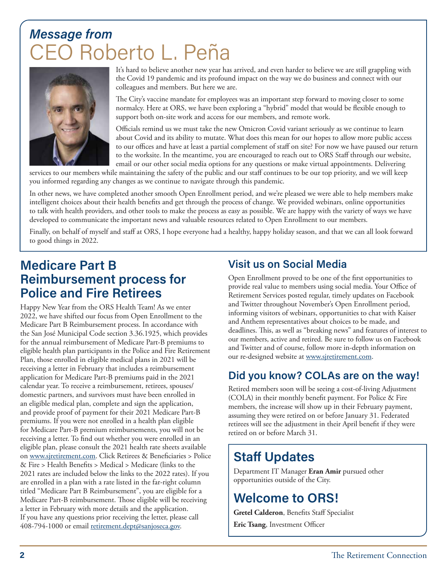# *Message from* Roberto L. Peña



It's hard to believe another new year has arrived, and even harder to believe we are still grappling with the Covid 19 pandemic and its profound impact on the way we do business and connect with our colleagues and members. But here we are.

The City's vaccine mandate for employees was an important step forward to moving closer to some normalcy. Here at ORS, we have been exploring a "hybrid" model that would be flexible enough to support both on-site work and access for our members, and remote work.

Officials remind us we must take the new Omicron Covid variant seriously as we continue to learn about Covid and its ability to mutate. What does this mean for our hopes to allow more public access to our offices and have at least a partial complement of staff on site? For now we have paused our return to the worksite. In the meantime, you are encouraged to reach out to ORS Staff through our website, email or our other social media options for any questions or make virtual appointments. Delivering

services to our members while maintaining the safety of the public and our staff continues to be our top priority, and we will keep you informed regarding any changes as we continue to navigate through this pandemic.

In other news, we have completed another smooth Open Enrollment period, and we're pleased we were able to help members make intelligent choices about their health benefits and get through the process of change. We provided webinars, online opportunities to talk with health providers, and other tools to make the process as easy as possible. We are happy with the variety of ways we have developed to communicate the important news and valuable resources related to Open Enrollment to our members.

Finally, on behalf of myself and staff at ORS, I hope everyone had a healthy, happy holiday season, and that we can all look forward to good things in 2022.

# **Medicare Part B Reimbursement process for Police and Fire Retirees**

Happy New Year from the ORS Health Team! As we enter 2022, we have shifted our focus from Open Enrollment to the Medicare Part B Reimbursement process. In accordance with the San José Municipal Code section 3.36.1925, which provides for the annual reimbursement of Medicare Part-B premiums to eligible health plan participants in the Police and Fire Retirement Plan, those enrolled in eligible medical plans in 2021 will be receiving a letter in February that includes a reimbursement application for Medicare Part-B premiums paid in the 2021 calendar year. To receive a reimbursement, retirees, spouses/ domestic partners, and survivors must have been enrolled in an eligible medical plan, complete and sign the application, and provide proof of payment for their 2021 Medicare Part-B premiums. If you were not enrolled in a health plan eligible for Medicare Part-B premium reimbursements, you will not be receiving a letter. To find out whether you were enrolled in an eligible plan, please consult the 2021 health rate sheets available on www.sjretirement.com. Click Retirees & Beneficiaries > Police & Fire > Health Benefits > Medical > Medicare (links to the 2021 rates are included below the links to the 2022 rates). If you are enrolled in a plan with a rate listed in the far-right column titled "Medicare Part B Reimbursement", you are eligible for a Medicare Part-B reimbursement. Those eligible will be receiving a letter in February with more details and the application. If you have any questions prior receiving the letter, please call 408-794-1000 or email retirement.dept@sanjoseca.gov.

## **Visit us on Social Media**

Open Enrollment proved to be one of the first opportunities to provide real value to members using social media. Your Office of Retirement Services posted regular, timely updates on Facebook and Twitter throughout November's Open Enrollment period, informing visitors of webinars, opportunities to chat with Kaiser and Anthem representatives about choices to be made, and deadlines. This, as well as "breaking news" and features of interest to our members, active and retired. Be sure to follow us on Facebook and Twitter and of course, follow more in-depth information on our re-designed website at www.sjretirement.com.

## **Did you know? COLAs are on the way!**

Retired members soon will be seeing a cost-of-living Adjustment (COLA) in their monthly benefit payment. For Police & Fire members, the increase will show up in their February payment, assuming they were retired on or before January 31. Federated retirees will see the adjustment in their April benefit if they were retired on or before March 31.

# **Staff Updates**

Department IT Manager **Eran Amir** pursued other opportunities outside of the City.

# **Welcome to ORS!**

**Gretel Calderon**, Benefits Staff Specialist **Eric Tsang**, Investment Officer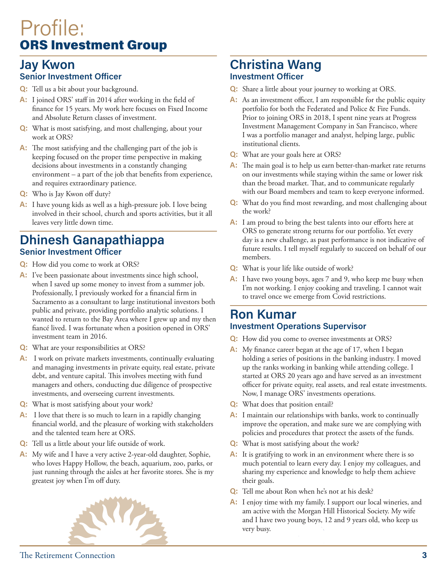# Profile: ORS Investment Group

## **Jay Kwon Senior Investment Officer**

- **Q:** Tell us a bit about your background.
- **A:** I joined ORS' staff in 2014 after working in the field of finance for 15 years. My work here focuses on Fixed Income and Absolute Return classes of investment.
- **Q:** What is most satisfying, and most challenging, about your work at ORS?
- **A:** The most satisfying and the challenging part of the job is keeping focused on the proper time perspective in making decisions about investments in a constantly changing environment – a part of the job that benefits from experience, and requires extraordinary patience.
- **Q:** Who is Jay Kwon off duty?
- **A:** I have young kids as well as a high-pressure job. I love being involved in their school, church and sports activities, but it all leaves very little down time.

## **Dhinesh Ganapathiappa Senior Investment Officer**

- **Q:** How did you come to work at ORS?
- **A:** I've been passionate about investments since high school, when I saved up some money to invest from a summer job. Professionally, I previously worked for a financial firm in Sacramento as a consultant to large institutional investors both public and private, providing portfolio analytic solutions. I wanted to return to the Bay Area where I grew up and my then fiancé lived. I was fortunate when a position opened in ORS' investment team in 2016.
- **Q:** What are your responsibilities at ORS?
- **A:** I work on private markets investments, continually evaluating and managing investments in private equity, real estate, private debt, and venture capital. This involves meeting with fund managers and others, conducting due diligence of prospective investments, and overseeing current investments.
- **Q:** What is most satisfying about your work?
- **A:** I love that there is so much to learn in a rapidly changing financial world, and the pleasure of working with stakeholders and the talented team here at ORS.
- **Q:** Tell us a little about your life outside of work.
- **A:** My wife and I have a very active 2-year-old daughter, Sophie, who loves Happy Hollow, the beach, aquarium, zoo, parks, or just running through the aisles at her favorite stores. She is my greatest joy when I'm off duty.



## **Christina Wang Investment Officer**

- **Q:** Share a little about your journey to working at ORS.
- A: As an investment officer, I am responsible for the public equity portfolio for both the Federated and Police & Fire Funds. Prior to joining ORS in 2018, I spent nine years at Progress Investment Management Company in San Francisco, where I was a portfolio manager and analyst, helping large, public institutional clients.
- **Q:** What are your goals here at ORS?
- **A:** The main goal is to help us earn better-than-market rate returns on our investments while staying within the same or lower risk than the broad market. That, and to communicate regularly with our Board members and team to keep everyone informed.
- **Q:** What do you find most rewarding, and most challenging about the work?
- **A:** I am proud to bring the best talents into our efforts here at ORS to generate strong returns for our portfolio. Yet every day is a new challenge, as past performance is not indicative of future results. I tell myself regularly to succeed on behalf of our members.
- **Q:** What is your life like outside of work?
- **A:** I have two young boys, ages 7 and 9, who keep me busy when I'm not working. I enjoy cooking and traveling. I cannot wait to travel once we emerge from Covid restrictions.

## **Ron Kumar Investment Operations Supervisor**

- **Q:** How did you come to oversee investments at ORS?
- **A:** My finance career began at the age of 17, when I began holding a series of positions in the banking industry. I moved up the ranks working in banking while attending college. I started at ORS 20 years ago and have served as an investment officer for private equity, real assets, and real estate investments. Now, I manage ORS' investments operations.
- **Q:** What does that position entail?
- **A:** I maintain our relationships with banks, work to continually improve the operation, and make sure we are complying with policies and procedures that protect the assets of the funds.
- **Q:** What is most satisfying about the work?
- **A:** It is gratifying to work in an environment where there is so much potential to learn every day. I enjoy my colleagues, and sharing my experience and knowledge to help them achieve their goals.
- **Q:** Tell me about Ron when he's not at his desk?
- **A:** I enjoy time with my family. I support our local wineries, and am active with the Morgan Hill Historical Society. My wife and I have two young boys, 12 and 9 years old, who keep us very busy.

The Retirement Connection **3**